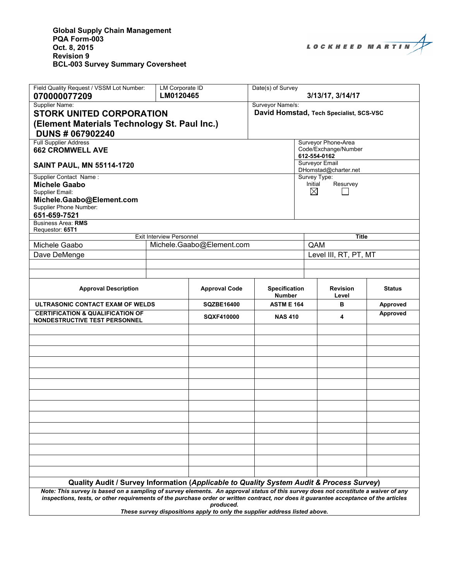

| Field Quality Request / VSSM Lot Number:                                                                                                                                                                                                                                    | <b>LM Corporate ID</b>                                       |                      | Date(s) of Survey                                           |                     |                          |               |  |
|-----------------------------------------------------------------------------------------------------------------------------------------------------------------------------------------------------------------------------------------------------------------------------|--------------------------------------------------------------|----------------------|-------------------------------------------------------------|---------------------|--------------------------|---------------|--|
| 070000077209                                                                                                                                                                                                                                                                | LM0120465                                                    |                      |                                                             |                     | 3/13/17, 3/14/17         |               |  |
| Supplier Name:<br><b>STORK UNITED CORPORATION</b><br>(Element Materials Technology St. Paul Inc.)<br><b>DUNS # 067902240</b>                                                                                                                                                |                                                              |                      | Surveyor Name/s:<br>David Homstad, Tech Specialist, SCS-VSC |                     |                          |               |  |
| <b>Full Supplier Address</b><br><b>662 CROMWELL AVE</b>                                                                                                                                                                                                                     |                                                              |                      | Surveyor Phone-Area<br>Code/Exchange/Number<br>612-554-0162 |                     |                          |               |  |
| <b>SAINT PAUL, MN 55114-1720</b>                                                                                                                                                                                                                                            | <b>Surveyor Email</b><br>DHomstad@charter.net                |                      |                                                             |                     |                          |               |  |
| Supplier Contact Name:<br>Survey Type:<br>Initial<br>Resurvey<br><b>Michele Gaabo</b><br>$\boxtimes$<br>Supplier Email:<br>Michele.Gaabo@Element.com<br>Supplier Phone Number:<br>651-659-7521<br><b>Business Area: RMS</b>                                                 |                                                              |                      |                                                             |                     |                          |               |  |
| Requestor: 65T1                                                                                                                                                                                                                                                             |                                                              |                      |                                                             |                     |                          |               |  |
| Michele Gaabo                                                                                                                                                                                                                                                               | <b>Exit Interview Personnel</b><br>Michele.Gaabo@Element.com |                      |                                                             | <b>Title</b><br>QAM |                          |               |  |
| Dave DeMenge                                                                                                                                                                                                                                                                |                                                              |                      |                                                             |                     | Level III, RT, PT, MT    |               |  |
|                                                                                                                                                                                                                                                                             |                                                              |                      |                                                             |                     |                          |               |  |
|                                                                                                                                                                                                                                                                             |                                                              |                      |                                                             |                     |                          |               |  |
| <b>Approval Description</b>                                                                                                                                                                                                                                                 |                                                              | <b>Approval Code</b> | <b>Specification</b><br><b>Number</b>                       |                     | <b>Revision</b><br>Level | <b>Status</b> |  |
| ULTRASONIC CONTACT EXAM OF WELDS                                                                                                                                                                                                                                            |                                                              | <b>SQZBE16400</b>    | <b>ASTM E 164</b>                                           |                     | в                        | Approved      |  |
| <b>CERTIFICATION &amp; QUALIFICATION OF</b>                                                                                                                                                                                                                                 |                                                              | <b>SQXF410000</b>    | <b>NAS 410</b>                                              |                     | 4                        | Approved      |  |
| <b>NONDESTRUCTIVE TEST PERSONNEL</b>                                                                                                                                                                                                                                        |                                                              |                      |                                                             |                     |                          |               |  |
|                                                                                                                                                                                                                                                                             |                                                              |                      |                                                             |                     |                          |               |  |
|                                                                                                                                                                                                                                                                             |                                                              |                      |                                                             |                     |                          |               |  |
|                                                                                                                                                                                                                                                                             |                                                              |                      |                                                             |                     |                          |               |  |
|                                                                                                                                                                                                                                                                             |                                                              |                      |                                                             |                     |                          |               |  |
|                                                                                                                                                                                                                                                                             |                                                              |                      |                                                             |                     |                          |               |  |
|                                                                                                                                                                                                                                                                             |                                                              |                      |                                                             |                     |                          |               |  |
|                                                                                                                                                                                                                                                                             |                                                              |                      |                                                             |                     |                          |               |  |
|                                                                                                                                                                                                                                                                             |                                                              |                      |                                                             |                     |                          |               |  |
|                                                                                                                                                                                                                                                                             |                                                              |                      |                                                             |                     |                          |               |  |
|                                                                                                                                                                                                                                                                             |                                                              |                      |                                                             |                     |                          |               |  |
|                                                                                                                                                                                                                                                                             |                                                              |                      |                                                             |                     |                          |               |  |
|                                                                                                                                                                                                                                                                             |                                                              |                      |                                                             |                     |                          |               |  |
|                                                                                                                                                                                                                                                                             |                                                              |                      |                                                             |                     |                          |               |  |
| Quality Audit / Survey Information (Applicable to Quality System Audit & Process Survey)                                                                                                                                                                                    |                                                              |                      |                                                             |                     |                          |               |  |
| Note: This survey is based on a sampling of survey elements. An approval status of this survey does not constitute a waiver of any<br>inspections, tests, or other requirements of the purchase order or written contract, nor does it guarantee acceptance of the articles |                                                              |                      |                                                             |                     |                          |               |  |

*produced.* 

*These survey dispositions apply to only the supplier address listed above.*